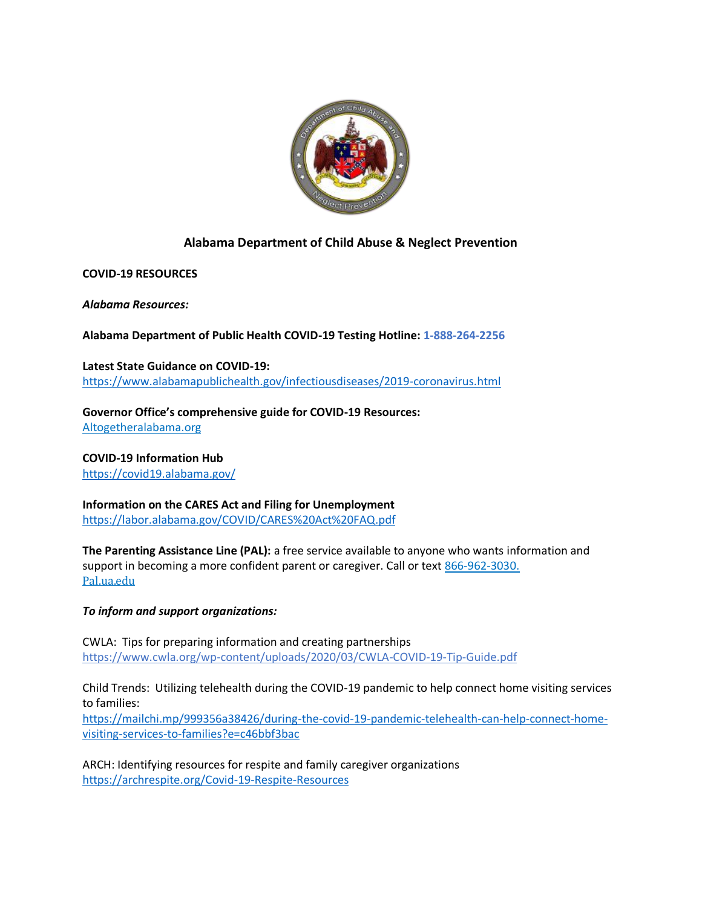

## **Alabama Department of Child Abuse & Neglect Prevention**

**COVID-19 RESOURCES**

*Alabama Resources:*

**Alabama Department of Public Health COVID-19 Testing Hotline: 1-888-264-2256**

**Latest State Guidance on COVID-19:** <https://www.alabamapublichealth.gov/infectiousdiseases/2019-coronavirus.html>

**Governor Office's comprehensive guide for COVID-19 Resources:** Altogetheralabama.org

**COVID-19 Information Hub** <https://covid19.alabama.gov/>

**Information on the CARES Act and Filing for Unemployment** <https://labor.alabama.gov/COVID/CARES%20Act%20FAQ.pdf>

**The Parenting Assistance Line (PAL):** a free service available to anyone who wants information and support in becoming a more confident parent or caregiver. Call or text [866-962-3030.](tel:18669623030) Pal.ua.edu

*To inform and support organizations:*

CWLA: Tips for preparing information and creating partnerships [https://www.cwla.org/wp-content/uploads/2020/03/CWLA-COVID-19-Tip-Guide.pdf](https://urldefense.proofpoint.com/v2/url?u=https-3A__www.cwla.org_wp-2Dcontent_uploads_2020_03_CWLA-2DCOVID-2D19-2DTip-2DGuide.pdf&d=DwMFAw&c=8K0mnSt5E4j4U_dMGxZxbA&r=mdf_-dpccLISnzm96n4Ef7ldkCwyWkhqPQWSsSYMz0U&m=kGq-xZ2XrnyIUlWhb7_kH0gFMDqdmBIJ0eE4Kquu1u4&s=WbBMKaSbQ2Sa7Z2RDWNN9cDVs7oq1-zr35UwaxX3bVI&e=)

Child Trends: Utilizing telehealth during the COVID-19 pandemic to help connect home visiting services to families:

[https://mailchi.mp/999356a38426/during-the-covid-19-pandemic-telehealth-can-help-connect-home](https://urldefense.proofpoint.com/v2/url?u=https-3A__mailchi.mp_999356a38426_during-2Dthe-2Dcovid-2D19-2Dpandemic-2Dtelehealth-2Dcan-2Dhelp-2Dconnect-2Dhome-2Dvisiting-2Dservices-2Dto-2Dfamilies-3Fe-3Dc46bbf3bac&d=DwMFAw&c=8K0mnSt5E4j4U_dMGxZxbA&r=mdf_-dpccLISnzm96n4Ef7ldkCwyWkhqPQWSsSYMz0U&m=kGq-xZ2XrnyIUlWhb7_kH0gFMDqdmBIJ0eE4Kquu1u4&s=-rhaNuQFu86zta7bWQxEgKQO2TTQfYehfExPZoOwbps&e=)[visiting-services-to-families?e=c46bbf3bac](https://urldefense.proofpoint.com/v2/url?u=https-3A__mailchi.mp_999356a38426_during-2Dthe-2Dcovid-2D19-2Dpandemic-2Dtelehealth-2Dcan-2Dhelp-2Dconnect-2Dhome-2Dvisiting-2Dservices-2Dto-2Dfamilies-3Fe-3Dc46bbf3bac&d=DwMFAw&c=8K0mnSt5E4j4U_dMGxZxbA&r=mdf_-dpccLISnzm96n4Ef7ldkCwyWkhqPQWSsSYMz0U&m=kGq-xZ2XrnyIUlWhb7_kH0gFMDqdmBIJ0eE4Kquu1u4&s=-rhaNuQFu86zta7bWQxEgKQO2TTQfYehfExPZoOwbps&e=)

ARCH: Identifying resources for respite and family caregiver organizations [https://archrespite.org/Covid-19-Respite-Resources](https://urldefense.proofpoint.com/v2/url?u=https-3A__archrespite.org_Covid-2D19-2DRespite-2DResources&d=DwMFAw&c=8K0mnSt5E4j4U_dMGxZxbA&r=mdf_-dpccLISnzm96n4Ef7ldkCwyWkhqPQWSsSYMz0U&m=kGq-xZ2XrnyIUlWhb7_kH0gFMDqdmBIJ0eE4Kquu1u4&s=4nNLcaFkR6HBUGD40BOkzP4LtnO7nPld_saTYn1zO_A&e=)